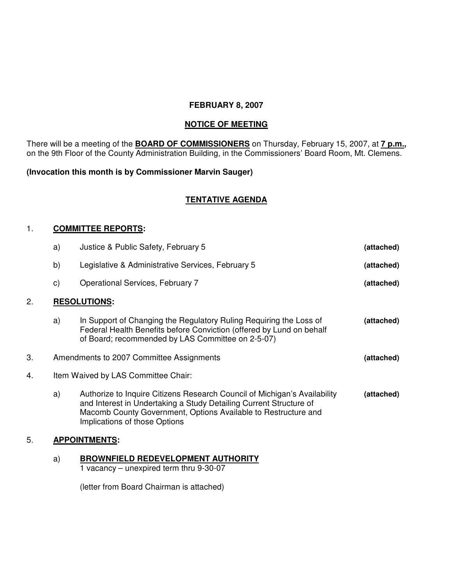## **FEBRUARY 8, 2007**

# **NOTICE OF MEETING**

There will be a meeting of the **BOARD OF COMMISSIONERS** on Thursday, February 15, 2007, at **7 p.m.,** on the 9th Floor of the County Administration Building, in the Commissioners' Board Room, Mt. Clemens.

## **(Invocation this month is by Commissioner Marvin Sauger)**

# **TENTATIVE AGENDA**

### 1. **COMMITTEE REPORTS:**

|    | a)                                                     | Justice & Public Safety, February 5                                                                                                                                                                                                                | (attached) |  |
|----|--------------------------------------------------------|----------------------------------------------------------------------------------------------------------------------------------------------------------------------------------------------------------------------------------------------------|------------|--|
|    | b)                                                     | Legislative & Administrative Services, February 5                                                                                                                                                                                                  | (attached) |  |
|    | $\mathsf{c})$                                          | <b>Operational Services, February 7</b>                                                                                                                                                                                                            | (attached) |  |
| 2. |                                                        | <b>RESOLUTIONS:</b>                                                                                                                                                                                                                                |            |  |
|    | a)                                                     | In Support of Changing the Regulatory Ruling Requiring the Loss of<br>Federal Health Benefits before Conviction (offered by Lund on behalf<br>of Board; recommended by LAS Committee on 2-5-07)                                                    | (attached) |  |
| 3. | Amendments to 2007 Committee Assignments<br>(attached) |                                                                                                                                                                                                                                                    |            |  |
| 4. | Item Waived by LAS Committee Chair:                    |                                                                                                                                                                                                                                                    |            |  |
|    | a)                                                     | Authorize to Inquire Citizens Research Council of Michigan's Availability<br>and Interest in Undertaking a Study Detailing Current Structure of<br>Macomb County Government, Options Available to Restructure and<br>Implications of those Options | (attached) |  |
| 5. | <b>APPOINTMENTS:</b>                                   |                                                                                                                                                                                                                                                    |            |  |

#### a) **BROWNFIELD REDEVELOPMENT AUTHORITY**

1 vacancy – unexpired term thru 9-30-07

(letter from Board Chairman is attached)